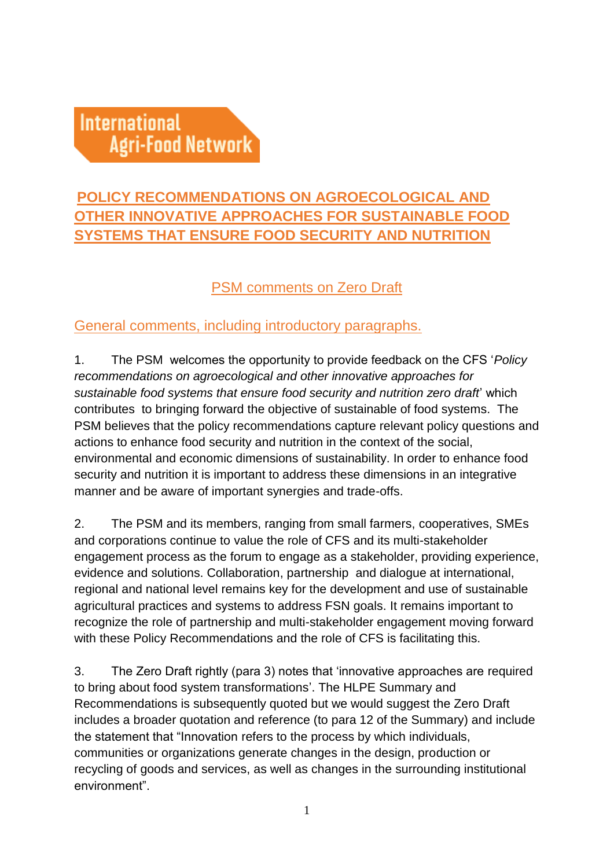

# **POLICY RECOMMENDATIONS ON AGROECOLOGICAL AND OTHER INNOVATIVE APPROACHES FOR SUSTAINABLE FOOD SYSTEMS THAT ENSURE FOOD SECURITY AND NUTRITION**

## PSM comments on Zero Draft

## General comments, including introductory paragraphs.

1. The PSM welcomes the opportunity to provide feedback on the CFS '*Policy recommendations on agroecological and other innovative approaches for sustainable food systems that ensure food security and nutrition zero draft*' which contributes to bringing forward the objective of sustainable of food systems. The PSM believes that the policy recommendations capture relevant policy questions and actions to enhance food security and nutrition in the context of the social, environmental and economic dimensions of sustainability. In order to enhance food security and nutrition it is important to address these dimensions in an integrative manner and be aware of important synergies and trade-offs.

2. The PSM and its members, ranging from small farmers, cooperatives, SMEs and corporations continue to value the role of CFS and its multi-stakeholder engagement process as the forum to engage as a stakeholder, providing experience, evidence and solutions. Collaboration, partnership and dialogue at international, regional and national level remains key for the development and use of sustainable agricultural practices and systems to address FSN goals. It remains important to recognize the role of partnership and multi-stakeholder engagement moving forward with these Policy Recommendations and the role of CFS is facilitating this.

3. The Zero Draft rightly (para 3) notes that 'innovative approaches are required to bring about food system transformations'. The HLPE Summary and Recommendations is subsequently quoted but we would suggest the Zero Draft includes a broader quotation and reference (to para 12 of the Summary) and include the statement that "Innovation refers to the process by which individuals, communities or organizations generate changes in the design, production or recycling of goods and services, as well as changes in the surrounding institutional environment".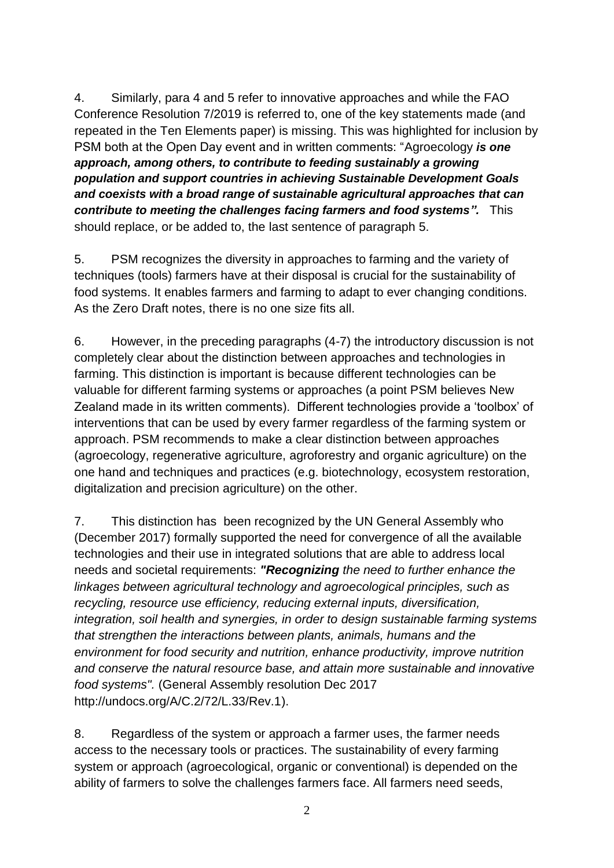4. Similarly, para 4 and 5 refer to innovative approaches and while the FAO Conference Resolution 7/2019 is referred to, one of the key statements made (and repeated in the Ten Elements paper) is missing. This was highlighted for inclusion by PSM both at the Open Day event and in written comments: "Agroecology *is one approach, among others, to contribute to feeding sustainably a growing population and support countries in achieving Sustainable Development Goals and coexists with a broad range of sustainable agricultural approaches that can contribute to meeting the challenges facing farmers and food systems".* This should replace, or be added to, the last sentence of paragraph 5.

5. PSM recognizes the diversity in approaches to farming and the variety of techniques (tools) farmers have at their disposal is crucial for the sustainability of food systems. It enables farmers and farming to adapt to ever changing conditions. As the Zero Draft notes, there is no one size fits all.

6. However, in the preceding paragraphs (4-7) the introductory discussion is not completely clear about the distinction between approaches and technologies in farming. This distinction is important is because different technologies can be valuable for different farming systems or approaches (a point PSM believes New Zealand made in its written comments). Different technologies provide a 'toolbox' of interventions that can be used by every farmer regardless of the farming system or approach. PSM recommends to make a clear distinction between approaches (agroecology, regenerative agriculture, agroforestry and organic agriculture) on the one hand and techniques and practices (e.g. biotechnology, ecosystem restoration, digitalization and precision agriculture) on the other.

7. This distinction has been recognized by the UN General Assembly who (December 2017) formally supported the need for convergence of all the available technologies and their use in integrated solutions that are able to address local needs and societal requirements: *"Recognizing the need to further enhance the linkages between agricultural technology and agroecological principles, such as recycling, resource use efficiency, reducing external inputs, diversification, integration, soil health and synergies, in order to design sustainable farming systems that strengthen the interactions between plants, animals, humans and the environment for food security and nutrition, enhance productivity, improve nutrition and conserve the natural resource base, and attain more sustainable and innovative food systems".* (General Assembly resolution Dec 2017 http://undocs.org/A/C.2/72/L.33/Rev.1).

8. Regardless of the system or approach a farmer uses, the farmer needs access to the necessary tools or practices. The sustainability of every farming system or approach (agroecological, organic or conventional) is depended on the ability of farmers to solve the challenges farmers face. All farmers need seeds,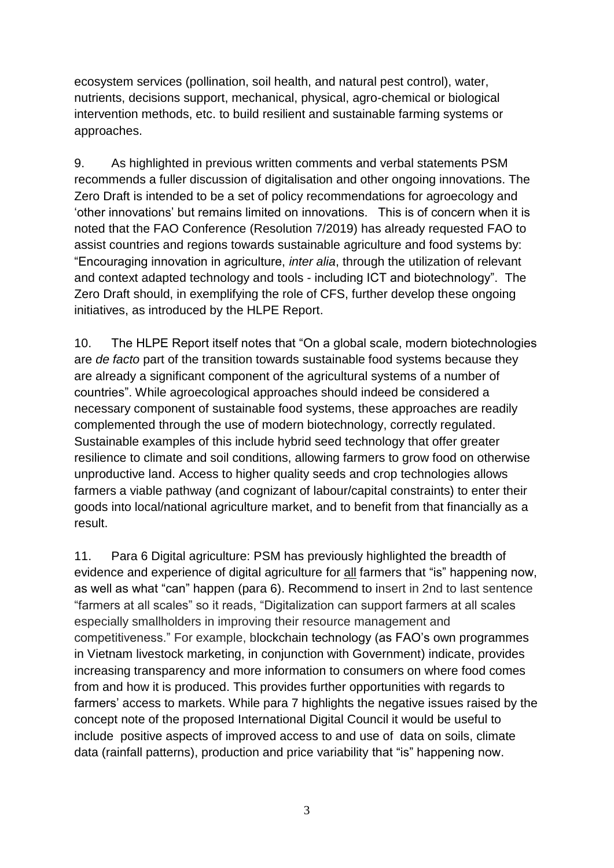ecosystem services (pollination, soil health, and natural pest control), water, nutrients, decisions support, mechanical, physical, agro-chemical or biological intervention methods, etc. to build resilient and sustainable farming systems or approaches.

9. As highlighted in previous written comments and verbal statements PSM recommends a fuller discussion of digitalisation and other ongoing innovations. The Zero Draft is intended to be a set of policy recommendations for agroecology and 'other innovations' but remains limited on innovations. This is of concern when it is noted that the FAO Conference (Resolution 7/2019) has already requested FAO to assist countries and regions towards sustainable agriculture and food systems by: "Encouraging innovation in agriculture, *inter alia*, through the utilization of relevant and context adapted technology and tools - including ICT and biotechnology". The Zero Draft should, in exemplifying the role of CFS, further develop these ongoing initiatives, as introduced by the HLPE Report.

10. The HLPE Report itself notes that "On a global scale, modern biotechnologies are *de facto* part of the transition towards sustainable food systems because they are already a significant component of the agricultural systems of a number of countries". While agroecological approaches should indeed be considered a necessary component of sustainable food systems, these approaches are readily complemented through the use of modern biotechnology, correctly regulated. Sustainable examples of this include hybrid seed technology that offer greater resilience to climate and soil conditions, allowing farmers to grow food on otherwise unproductive land. Access to higher quality seeds and crop technologies allows farmers a viable pathway (and cognizant of labour/capital constraints) to enter their goods into local/national agriculture market, and to benefit from that financially as a result.

11. Para 6 Digital agriculture: PSM has previously highlighted the breadth of evidence and experience of digital agriculture for all farmers that "is" happening now, as well as what "can" happen (para 6). Recommend to insert in 2nd to last sentence "farmers at all scales" so it reads, "Digitalization can support farmers at all scales especially smallholders in improving their resource management and competitiveness." For example, blockchain technology (as FAO's own programmes in Vietnam livestock marketing, in conjunction with Government) indicate, provides increasing transparency and more information to consumers on where food comes from and how it is produced. This provides further opportunities with regards to farmers' access to markets. While para 7 highlights the negative issues raised by the concept note of the proposed International Digital Council it would be useful to include positive aspects of improved access to and use of data on soils, climate data (rainfall patterns), production and price variability that "is" happening now.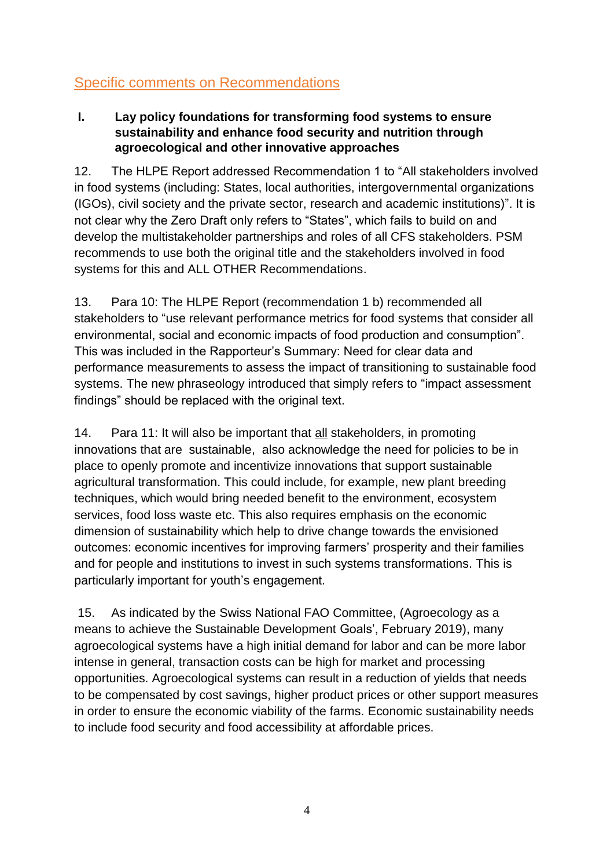## Specific comments on Recommendations

#### **I. Lay policy foundations for transforming food systems to ensure sustainability and enhance food security and nutrition through agroecological and other innovative approaches**

12. The HLPE Report addressed Recommendation 1 to "All stakeholders involved in food systems (including: States, local authorities, intergovernmental organizations (IGOs), civil society and the private sector, research and academic institutions)". It is not clear why the Zero Draft only refers to "States", which fails to build on and develop the multistakeholder partnerships and roles of all CFS stakeholders. PSM recommends to use both the original title and the stakeholders involved in food systems for this and ALL OTHER Recommendations.

13. Para 10: The HLPE Report (recommendation 1 b) recommended all stakeholders to "use relevant performance metrics for food systems that consider all environmental, social and economic impacts of food production and consumption". This was included in the Rapporteur's Summary: Need for clear data and performance measurements to assess the impact of transitioning to sustainable food systems. The new phraseology introduced that simply refers to "impact assessment findings" should be replaced with the original text.

14. Para 11: It will also be important that all stakeholders, in promoting innovations that are sustainable, also acknowledge the need for policies to be in place to openly promote and incentivize innovations that support sustainable agricultural transformation. This could include, for example, new plant breeding techniques, which would bring needed benefit to the environment, ecosystem services, food loss waste etc. This also requires emphasis on the economic dimension of sustainability which help to drive change towards the envisioned outcomes: economic incentives for improving farmers' prosperity and their families and for people and institutions to invest in such systems transformations. This is particularly important for youth's engagement.

15. As indicated by the Swiss National FAO Committee, (Agroecology as a means to achieve the Sustainable Development Goals', February 2019), many agroecological systems have a high initial demand for labor and can be more labor intense in general, transaction costs can be high for market and processing opportunities. Agroecological systems can result in a reduction of yields that needs to be compensated by cost savings, higher product prices or other support measures in order to ensure the economic viability of the farms. Economic sustainability needs to include food security and food accessibility at affordable prices.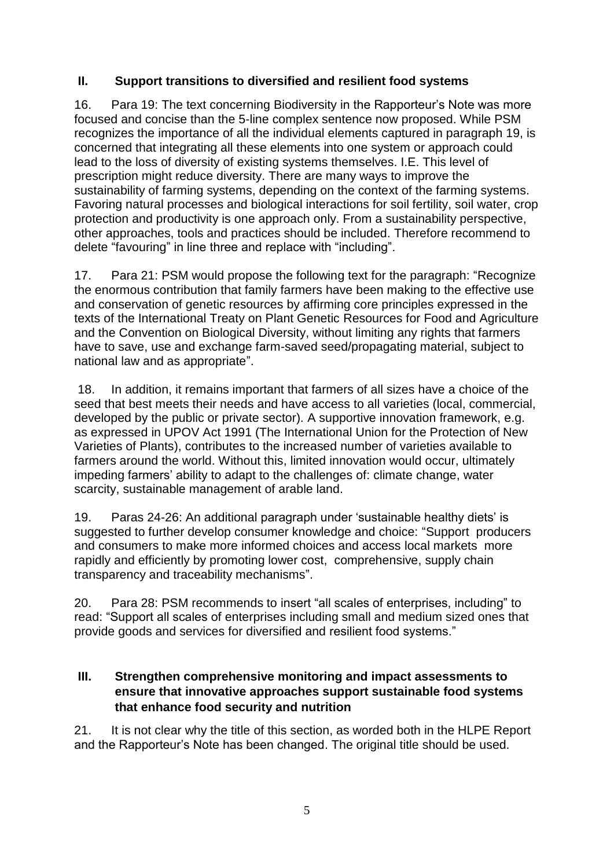#### **II. Support transitions to diversified and resilient food systems**

16. Para 19: The text concerning Biodiversity in the Rapporteur's Note was more focused and concise than the 5-line complex sentence now proposed. While PSM recognizes the importance of all the individual elements captured in paragraph 19, is concerned that integrating all these elements into one system or approach could lead to the loss of diversity of existing systems themselves. I.E. This level of prescription might reduce diversity. There are many ways to improve the sustainability of farming systems, depending on the context of the farming systems. Favoring natural processes and biological interactions for soil fertility, soil water, crop protection and productivity is one approach only. From a sustainability perspective, other approaches, tools and practices should be included. Therefore recommend to delete "favouring" in line three and replace with "including".

17. Para 21: PSM would propose the following text for the paragraph: "Recognize the enormous contribution that family farmers have been making to the effective use and conservation of genetic resources by affirming core principles expressed in the texts of the International Treaty on Plant Genetic Resources for Food and Agriculture and the Convention on Biological Diversity, without limiting any rights that farmers have to save, use and exchange farm-saved seed/propagating material, subject to national law and as appropriate".

18. In addition, it remains important that farmers of all sizes have a choice of the seed that best meets their needs and have access to all varieties (local, commercial, developed by the public or private sector). A supportive innovation framework, e.g. as expressed in UPOV Act 1991 (The International Union for the Protection of New Varieties of Plants), contributes to the increased number of varieties available to farmers around the world. Without this, limited innovation would occur, ultimately impeding farmers' ability to adapt to the challenges of: climate change, water scarcity, sustainable management of arable land.

19. Paras 24-26: An additional paragraph under 'sustainable healthy diets' is suggested to further develop consumer knowledge and choice: "Support producers and consumers to make more informed choices and access local markets more rapidly and efficiently by promoting lower cost, comprehensive, supply chain transparency and traceability mechanisms".

20. Para 28: PSM recommends to insert "all scales of enterprises, including" to read: "Support all scales of enterprises including small and medium sized ones that provide goods and services for diversified and resilient food systems."

#### **III. Strengthen comprehensive monitoring and impact assessments to ensure that innovative approaches support sustainable food systems that enhance food security and nutrition**

21. It is not clear why the title of this section, as worded both in the HLPE Report and the Rapporteur's Note has been changed. The original title should be used.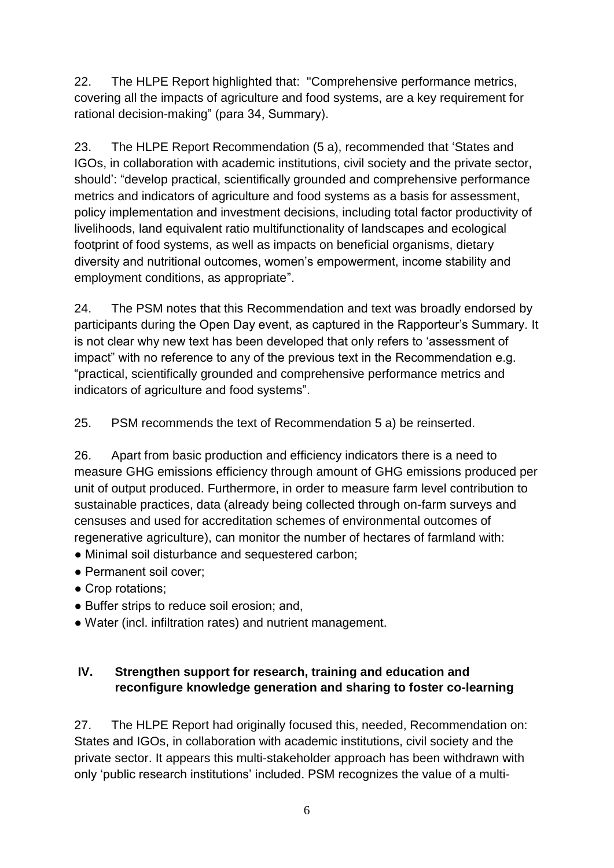22. The HLPE Report highlighted that: "Comprehensive performance metrics, covering all the impacts of agriculture and food systems, are a key requirement for rational decision-making" (para 34, Summary).

23. The HLPE Report Recommendation (5 a), recommended that 'States and IGOs, in collaboration with academic institutions, civil society and the private sector, should': "develop practical, scientifically grounded and comprehensive performance metrics and indicators of agriculture and food systems as a basis for assessment, policy implementation and investment decisions, including total factor productivity of livelihoods, land equivalent ratio multifunctionality of landscapes and ecological footprint of food systems, as well as impacts on beneficial organisms, dietary diversity and nutritional outcomes, women's empowerment, income stability and employment conditions, as appropriate".

24. The PSM notes that this Recommendation and text was broadly endorsed by participants during the Open Day event, as captured in the Rapporteur's Summary. It is not clear why new text has been developed that only refers to 'assessment of impact" with no reference to any of the previous text in the Recommendation e.g. "practical, scientifically grounded and comprehensive performance metrics and indicators of agriculture and food systems".

25. PSM recommends the text of Recommendation 5 a) be reinserted.

26. Apart from basic production and efficiency indicators there is a need to measure GHG emissions efficiency through amount of GHG emissions produced per unit of output produced. Furthermore, in order to measure farm level contribution to sustainable practices, data (already being collected through on-farm surveys and censuses and used for accreditation schemes of environmental outcomes of regenerative agriculture), can monitor the number of hectares of farmland with:

- Minimal soil disturbance and sequestered carbon;
- Permanent soil cover:
- Crop rotations:
- Buffer strips to reduce soil erosion; and,
- Water (incl. infiltration rates) and nutrient management.

### **IV. Strengthen support for research, training and education and reconfigure knowledge generation and sharing to foster co-learning**

27. The HLPE Report had originally focused this, needed, Recommendation on: States and IGOs, in collaboration with academic institutions, civil society and the private sector. It appears this multi-stakeholder approach has been withdrawn with only 'public research institutions' included. PSM recognizes the value of a multi